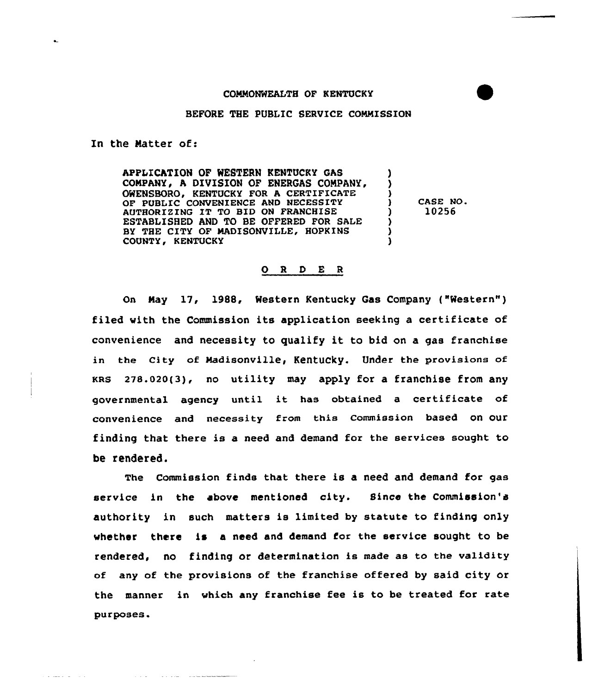## COMMONWEALTH OF KENTUCKY

## BEFORE THE PUBLIC SERVICE COMMISSION

In the Natter of:

APPLICATION OF WESTERN KENTUCKY GAS COMPANY, A DIVISION OF ENERGAS COMPANY, OWENSBORO, KENTUCKY FOR A CERTIFICATE OF PUBLIC CONVENIENCE AND NECESSITY AUTHORIZING IT TO BID ON FRANCHISE ESTABLISHED AND TO BE OFFERED FOR SALE BY THE CITY OF HADISONVILLE, HOPKINS COUNTY, KENTUCKY

<sup>3</sup> CASE NO. ) 10256

)  $\left\{ \right.$ 

> ) 3

## O R D E R

On Nay 17, 1988, Western Kentucky Gas Company ("Western" ) filed with the Commission its application seeking a certificate of convenience and necessity to qualify it to bid on <sup>a</sup> gas franchise in the City of Madisonville, Kentucky. Under the provisions of  $KRS$  278.020(3), no utility may apply for a franchise from any governmental agency until it has obtained <sup>a</sup> certificate of convenience and necessity from this Commission based on our finding that there is a need and demand for the services sought to be rendered.

The Commission finds that there is a need and demand for gas service in the above mentioned city. Since the Commission's authority in such matters is limited by statute to finding only whether there is a need and demand for the service sought to be rendered, no finding or determination is made as to the validity any of the provisions of the franchise offered by said city or the manner in which any franchise fee is to be treated for rate purposes.